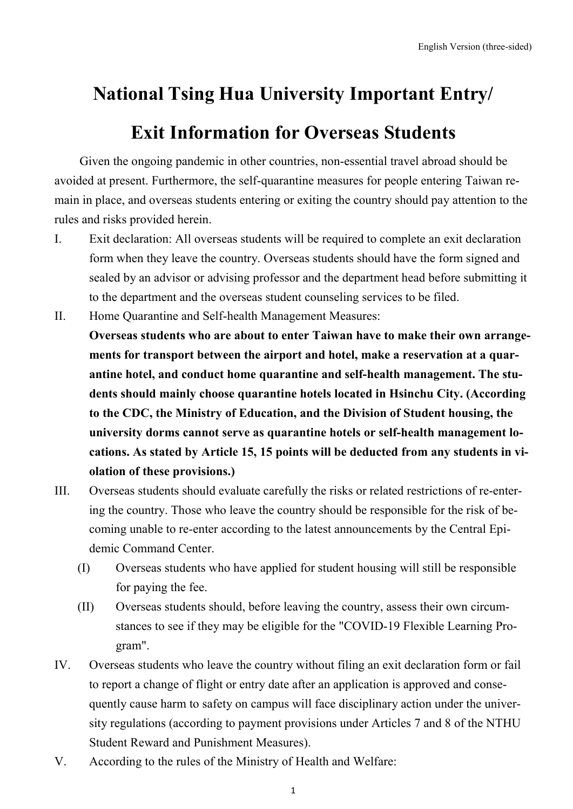## **National Tsing Hua University Important Entry/**

## **Exit Information for Overseas Students**

Given the ongoing pandemic in other countries, non-essential travel abroad should be avoided at present. Furthermore, the self-quarantine measures for people entering Taiwan remain in place, and overseas students entering or exiting the country should pay attention to the rules and risks provided herein.

- I. Exit declaration: All overseas students will be required to complete an exit declaration form when they leave the country. Overseas students should have the form signed and sealed by an advisor or advising professor and the department head before submitting it to the department and the overseas student counseling services to be filed.
- II. Home Quarantine and Self-health Management Measures: **Overseas students who are about to enter Taiwan have to make their own arrangements for transport between the airport and hotel, make a reservation at a quarantine hotel, and conduct home quarantine and self-health management. The students should mainly choose quarantine hotels located in Hsinchu City. (According to the CDC, the Ministry of Education, and the Division of Student housing, the university dorms cannot serve as quarantine hotels or self-health management locations. As stated by Article 15, 15 points will be deducted from any students in violation of these provisions.)**
- III. Overseas students should evaluate carefully the risks or related restrictions of re-entering the country. Those who leave the country should be responsible for the risk of becoming unable to re-enter according to the latest announcements by the Central Epidemic Command Center.
	- (I) Overseas students who have applied for student housing will still be responsible for paying the fee.
	- (II) Overseas students should, before leaving the country, assess their own circumstances to see if they may be eligible for the "COVID-19 Flexible Learning Program".
- IV. Overseas students who leave the country without filing an exit declaration form or fail to report a change of flight or entry date after an application is approved and consequently cause harm to safety on campus will face disciplinary action under the university regulations (according to payment provisions under Articles 7 and 8 of the NTHU Student Reward and Punishment Measures).
- V. According to the rules of the Ministry of Health and Welfare: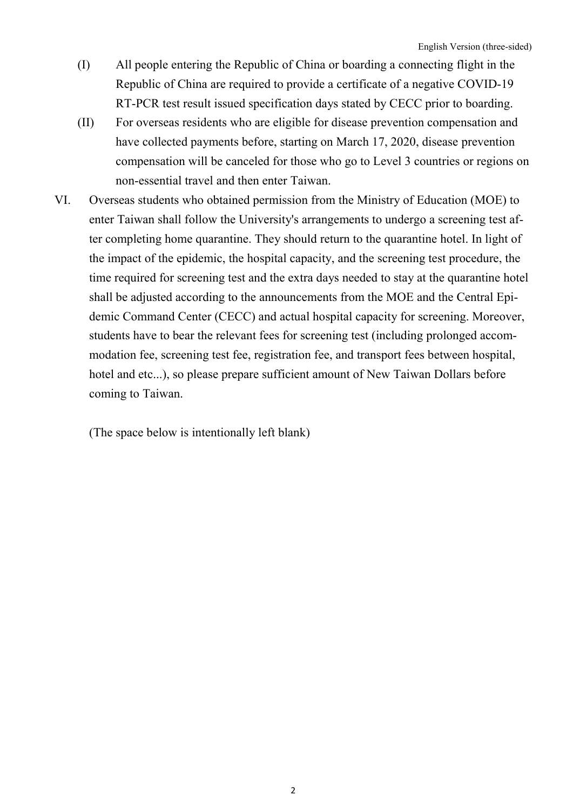- (I) All people entering the Republic of China or boarding a connecting flight in the Republic of China are required to provide a certificate of a negative COVID-19 RT-PCR test result issued specification days stated by CECC prior to boarding.
- (II) For overseas residents who are eligible for disease prevention compensation and have collected payments before, starting on March 17, 2020, disease prevention compensation will be canceled for those who go to Level 3 countries or regions on non-essential travel and then enter Taiwan.
- VI. Overseas students who obtained permission from the Ministry of Education (MOE) to enter Taiwan shall follow the University's arrangements to undergo a screening test after completing home quarantine. They should return to the quarantine hotel. In light of the impact of the epidemic, the hospital capacity, and the screening test procedure, the time required for screening test and the extra days needed to stay at the quarantine hotel shall be adjusted according to the announcements from the MOE and the Central Epidemic Command Center (CECC) and actual hospital capacity for screening. Moreover, students have to bear the relevant fees for screening test (including prolonged accommodation fee, screening test fee, registration fee, and transport fees between hospital, hotel and etc...), so please prepare sufficient amount of New Taiwan Dollars before coming to Taiwan.

(The space below is intentionally left blank)